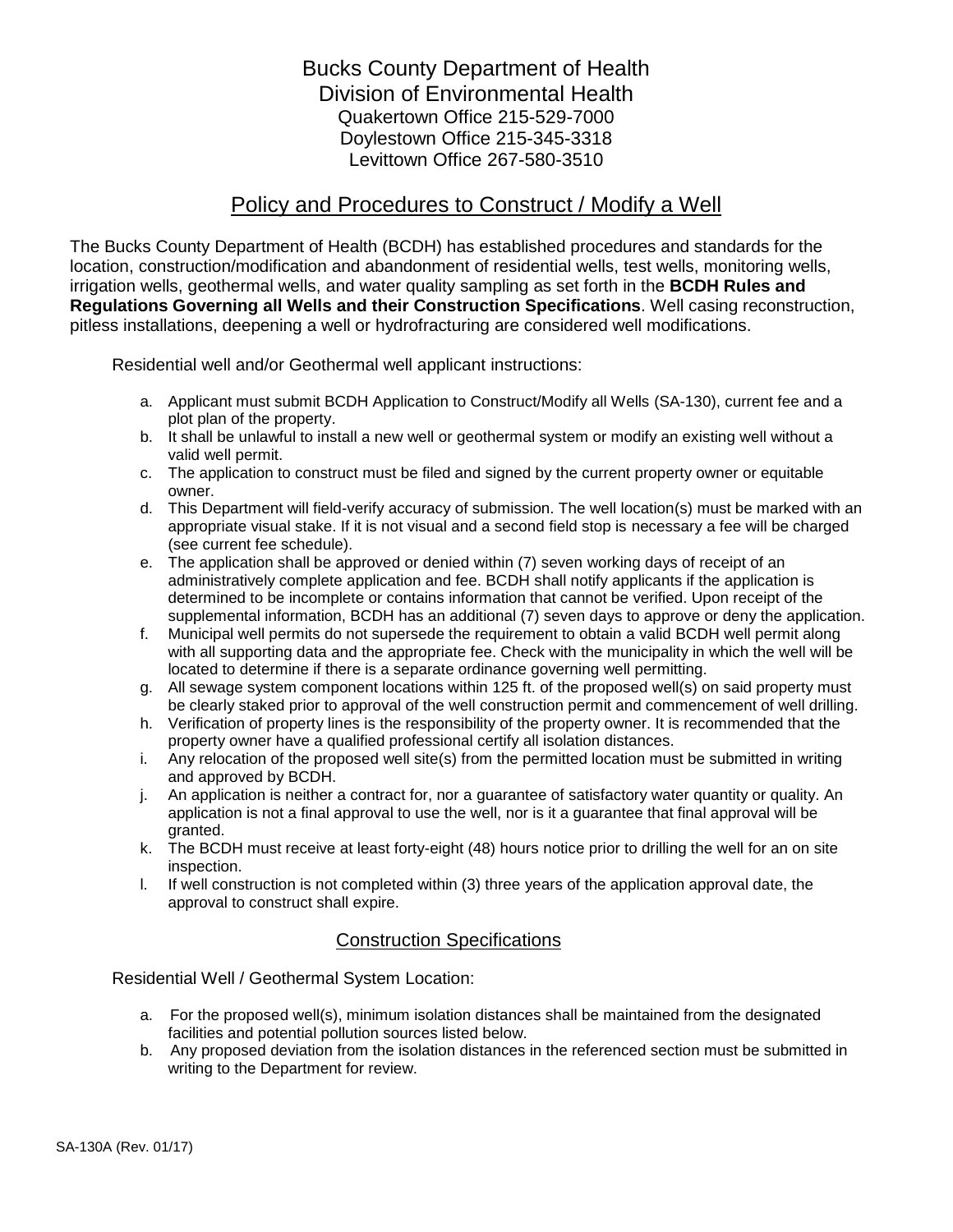Bucks County Department of Health Division of Environmental Health Quakertown Office 215-529-7000 Doylestown Office 215-345-3318 Levittown Office 267-580-3510

## Policy and Procedures to Construct / Modify a Well

The Bucks County Department of Health (BCDH) has established procedures and standards for the location, construction/modification and abandonment of residential wells, test wells, monitoring wells, irrigation wells, geothermal wells, and water quality sampling as set forth in the **BCDH Rules and Regulations Governing all Wells and their Construction Specifications**. Well casing reconstruction, pitless installations, deepening a well or hydrofracturing are considered well modifications.

Residential well and/or Geothermal well applicant instructions:

- a. Applicant must submit BCDH Application to Construct/Modify all Wells (SA-130), current fee and a plot plan of the property.
- b. It shall be unlawful to install a new well or geothermal system or modify an existing well without a valid well permit.
- c. The application to construct must be filed and signed by the current property owner or equitable owner.
- d. This Department will field-verify accuracy of submission. The well location(s) must be marked with an appropriate visual stake. If it is not visual and a second field stop is necessary a fee will be charged (see current fee schedule).
- e. The application shall be approved or denied within (7) seven working days of receipt of an administratively complete application and fee. BCDH shall notify applicants if the application is determined to be incomplete or contains information that cannot be verified. Upon receipt of the supplemental information, BCDH has an additional (7) seven days to approve or deny the application.
- f. Municipal well permits do not supersede the requirement to obtain a valid BCDH well permit along with all supporting data and the appropriate fee. Check with the municipality in which the well will be located to determine if there is a separate ordinance governing well permitting.
- g. All sewage system component locations within 125 ft. of the proposed well(s) on said property must be clearly staked prior to approval of the well construction permit and commencement of well drilling.
- h. Verification of property lines is the responsibility of the property owner. It is recommended that the property owner have a qualified professional certify all isolation distances.
- i. Any relocation of the proposed well site(s) from the permitted location must be submitted in writing and approved by BCDH.
- j. An application is neither a contract for, nor a guarantee of satisfactory water quantity or quality. An application is not a final approval to use the well, nor is it a guarantee that final approval will be granted.
- k. The BCDH must receive at least forty-eight (48) hours notice prior to drilling the well for an on site inspection.
- l. If well construction is not completed within (3) three years of the application approval date, the approval to construct shall expire.

## Construction Specifications

Residential Well / Geothermal System Location:

- a. For the proposed well(s), minimum isolation distances shall be maintained from the designated facilities and potential pollution sources listed below.
- b. Any proposed deviation from the isolation distances in the referenced section must be submitted in writing to the Department for review.